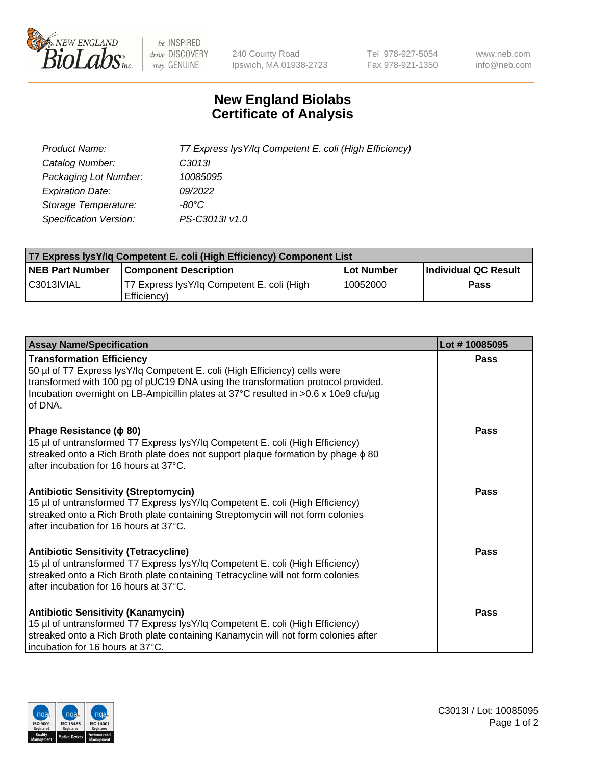

 $be$  INSPIRED drive DISCOVERY stay GENUINE

240 County Road Ipswich, MA 01938-2723 Tel 978-927-5054 Fax 978-921-1350 www.neb.com info@neb.com

## **New England Biolabs Certificate of Analysis**

| Product Name:                 | T7 Express lysY/lq Competent E. coli (High Efficiency) |
|-------------------------------|--------------------------------------------------------|
| Catalog Number:               | C3013I                                                 |
| Packaging Lot Number:         | 10085095                                               |
| <b>Expiration Date:</b>       | 09/2022                                                |
| Storage Temperature:          | -80°C                                                  |
| <b>Specification Version:</b> | PS-C3013I v1.0                                         |

| T7 Express lysY/lg Competent E. coli (High Efficiency) Component List |                                                           |                   |                      |  |
|-----------------------------------------------------------------------|-----------------------------------------------------------|-------------------|----------------------|--|
| <b>NEB Part Number</b>                                                | <b>Component Description</b>                              | <b>Lot Number</b> | Individual QC Result |  |
| C3013IVIAL                                                            | T7 Express lysY/lg Competent E. coli (High<br>Efficiency) | 10052000          | <b>Pass</b>          |  |

| <b>Assay Name/Specification</b>                                                                                                                                                                                                                                                                      | Lot #10085095 |
|------------------------------------------------------------------------------------------------------------------------------------------------------------------------------------------------------------------------------------------------------------------------------------------------------|---------------|
| <b>Transformation Efficiency</b><br>50 µl of T7 Express lysY/lq Competent E. coli (High Efficiency) cells were<br>transformed with 100 pg of pUC19 DNA using the transformation protocol provided.<br>Incubation overnight on LB-Ampicillin plates at 37°C resulted in >0.6 x 10e9 cfu/µg<br>of DNA. | Pass          |
| Phage Resistance ( $\phi$ 80)<br>15 µl of untransformed T7 Express lysY/lq Competent E. coli (High Efficiency)<br>streaked onto a Rich Broth plate does not support plaque formation by phage $\phi$ 80<br>after incubation for 16 hours at 37°C.                                                    | Pass          |
| <b>Antibiotic Sensitivity (Streptomycin)</b><br>15 µl of untransformed T7 Express lysY/lq Competent E. coli (High Efficiency)<br>streaked onto a Rich Broth plate containing Streptomycin will not form colonies<br>after incubation for 16 hours at 37°C.                                           | Pass          |
| <b>Antibiotic Sensitivity (Tetracycline)</b><br>15 µl of untransformed T7 Express lysY/lq Competent E. coli (High Efficiency)<br>streaked onto a Rich Broth plate containing Tetracycline will not form colonies<br>after incubation for 16 hours at 37°C.                                           | Pass          |
| <b>Antibiotic Sensitivity (Kanamycin)</b><br>15 µl of untransformed T7 Express lysY/lq Competent E. coli (High Efficiency)<br>streaked onto a Rich Broth plate containing Kanamycin will not form colonies after<br>incubation for 16 hours at 37°C.                                                 | Pass          |